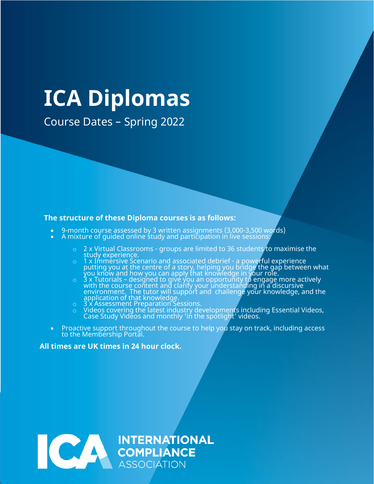# **ICA Diplomas**

Course Dates – Spring 2022

#### **The structure of these Diploma courses is as follows:**

- 9-month course assessed by 3 written assignments (3,000-3,500 words)
- $\bullet$  A mixture of guided online study and participation in live sessions:
	- o 2 x Virtual Classrooms groups are limited to 36 students to maximise the study experience.
	- o 1 x Immersive Scenario and associated debrief a powerful experience putting you at the centre of a story, helping you bridge the gap between what  $\mathop{\mathsf{you}}$  know and how you can apply that knowledge in  $\mathop{\mathsf{your}}$  role.
	- $\circ$   $\circ$  3 x Tutorials designed to give you an opportunity to engage more actively with the course content and clarify your understanding in a discursive environment. The tutor will support and challenge your knowledge, and the application of that knowledge.
	- o 3 x Assessment Preparation Sessions.
	- o Videos covering the latest industry developments including Essential Videos, Case Study Videos and monthly 'in the spotlight' videos.
- Proactive support throughout the course to help you stay on track, including access to the Membership Portal.

#### **All times are UK times in 24 hour clock.**

INTERNATIONAL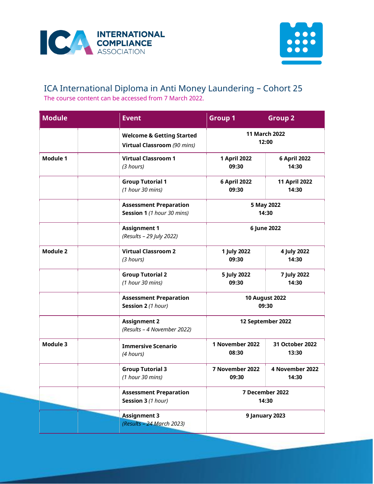



## ICA International Diploma in Anti Money Laundering – Cohort 25 The course content can be accessed from 7 March 2022.

| <b>Module</b>   | <b>Event</b>                                                        | <b>Group 1</b>                     | Group <sub>2</sub>       |  |
|-----------------|---------------------------------------------------------------------|------------------------------------|--------------------------|--|
|                 | <b>Welcome &amp; Getting Started</b><br>Virtual Classroom (90 mins) | <b>11 March 2022</b><br>12:00      |                          |  |
| Module 1        | <b>Virtual Classroom 1</b><br>(3 hours)                             | 1 April 2022<br>09:30              | 6 April 2022<br>14:30    |  |
|                 | <b>Group Tutorial 1</b><br>(1 hour 30 mins)                         | 6 April 2022<br>09:30              | 11 April 2022<br>14:30   |  |
|                 | <b>Assessment Preparation</b><br>Session 1 (1 hour 30 mins)         | 5 May 2022<br>14:30<br>6 June 2022 |                          |  |
|                 | <b>Assignment 1</b><br>(Results - 29 July 2022)                     |                                    |                          |  |
| <b>Module 2</b> | <b>Virtual Classroom 2</b><br>(3 hours)                             | 1 July 2022<br>09:30               | 4 July 2022<br>14:30     |  |
|                 | <b>Group Tutorial 2</b><br>(1 hour 30 mins)                         | 5 July 2022<br>09:30               | 7 July 2022<br>14:30     |  |
|                 | <b>Assessment Preparation</b><br>Session 2 (1 hour)                 | <b>10 August 2022</b><br>09:30     |                          |  |
|                 | <b>Assignment 2</b><br>(Results - 4 November 2022)                  | 12 September 2022                  |                          |  |
| Module 3        | <b>Immersive Scenario</b><br>(4 hours)                              | 1 November 2022<br>08:30           | 31 October 2022<br>13:30 |  |
|                 | <b>Group Tutorial 3</b><br>(1 hour 30 mins)                         | 7 November 2022<br>09:30           | 4 November 2022<br>14:30 |  |
|                 | <b>Assessment Preparation</b><br>Session 3 (1 hour)                 |                                    | 7 December 2022<br>14:30 |  |
|                 | <b>Assignment 3</b><br>(Results - 24 March 2023)                    | 9 January 2023                     |                          |  |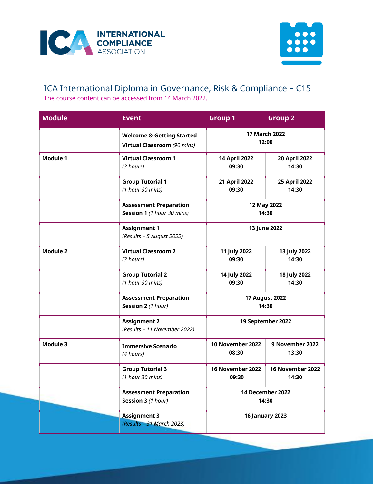



# ICA International Diploma in Governance, Risk & Compliance – C15 The course content can be accessed from 14 March 2022.

| <b>Module</b>   | <b>Event</b>                                                        | Group 1                        | <b>Group 2</b>            |
|-----------------|---------------------------------------------------------------------|--------------------------------|---------------------------|
|                 | <b>Welcome &amp; Getting Started</b><br>Virtual Classroom (90 mins) | <b>17 March 2022</b><br>12:00  |                           |
| Module 1        | <b>Virtual Classroom 1</b><br>(3 hours)                             | 14 April 2022<br>09:30         | 20 April 2022<br>14:30    |
|                 | <b>Group Tutorial 1</b><br>(1 hour 30 mins)                         | 21 April 2022<br>09:30         | 25 April 2022<br>14:30    |
|                 | <b>Assessment Preparation</b><br>Session 1 (1 hour 30 mins)         | 12 May 2022<br>14:30           |                           |
|                 | <b>Assignment 1</b><br>(Results - 5 August 2022)                    | 13 June 2022                   |                           |
| <b>Module 2</b> | <b>Virtual Classroom 2</b><br>(3 hours)                             | 11 July 2022<br>09:30          | 13 July 2022<br>14:30     |
|                 | <b>Group Tutorial 2</b><br>(1 hour 30 mins)                         | 14 July 2022<br>09:30          | 18 July 2022<br>14:30     |
|                 | <b>Assessment Preparation</b><br>Session 2 (1 hour)                 | <b>17 August 2022</b><br>14:30 |                           |
|                 | <b>Assignment 2</b><br>(Results - 11 November 2022)                 | 19 September 2022              |                           |
| Module 3        | <b>Immersive Scenario</b><br>(4 hours)                              | 10 November 2022<br>08:30      | 9 November 2022<br>13:30  |
|                 | <b>Group Tutorial 3</b><br>(1 hour 30 mins)                         | 16 November 2022<br>09:30      | 16 November 2022<br>14:30 |
|                 | <b>Assessment Preparation</b><br>Session 3 (1 hour)                 | 14 December 2022<br>14:30      |                           |
|                 | <b>Assignment 3</b><br>(Results - 31 March 2023)                    | <b>16 January 2023</b>         |                           |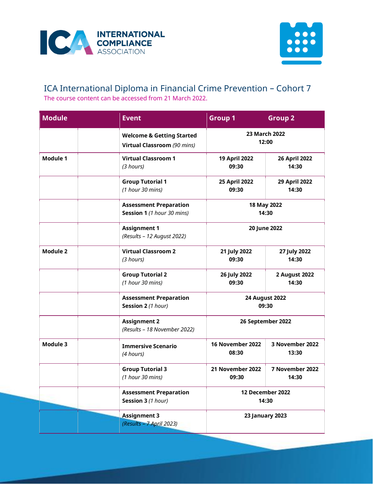



## ICA International Diploma in Financial Crime Prevention – Cohort 7 The course content can be accessed from 21 March 2022.

| <b>Module</b>   | <b>Event</b>                                                        | Group 1                   | <b>Group 2</b>           |
|-----------------|---------------------------------------------------------------------|---------------------------|--------------------------|
|                 | <b>Welcome &amp; Getting Started</b><br>Virtual Classroom (90 mins) | 23 March 2022<br>12:00    |                          |
| Module 1        | <b>Virtual Classroom 1</b><br>(3 hours)                             | 19 April 2022<br>09:30    | 26 April 2022<br>14:30   |
|                 | <b>Group Tutorial 1</b><br>(1 hour 30 mins)                         | 25 April 2022<br>09:30    | 29 April 2022<br>14:30   |
|                 | <b>Assessment Preparation</b><br>Session 1 (1 hour 30 mins)         | 18 May 2022<br>14:30      |                          |
|                 | <b>Assignment 1</b><br>(Results - 12 August 2022)                   | 20 June 2022              |                          |
| <b>Module 2</b> | <b>Virtual Classroom 2</b><br>(3 hours)                             | 21 July 2022<br>09:30     | 27 July 2022<br>14:30    |
|                 | <b>Group Tutorial 2</b><br>(1 hour 30 mins)                         | 26 July 2022<br>09:30     | 2 August 2022<br>14:30   |
|                 | <b>Assessment Preparation</b><br>Session 2 (1 hour)                 | 24 August 2022<br>09:30   |                          |
|                 | <b>Assignment 2</b><br>(Results - 18 November 2022)                 | 26 September 2022         |                          |
| Module 3        | <b>Immersive Scenario</b><br>(4 hours)                              | 16 November 2022<br>08:30 | 3 November 2022<br>13:30 |
|                 | <b>Group Tutorial 3</b><br>(1 hour 30 mins)                         | 21 November 2022<br>09:30 | 7 November 2022<br>14:30 |
|                 | <b>Assessment Preparation</b><br>Session 3 (1 hour)                 | 12 December 2022<br>14:30 |                          |
|                 | <b>Assignment 3</b><br>(Results - 7 April 2023)                     | <b>23 January 2023</b>    |                          |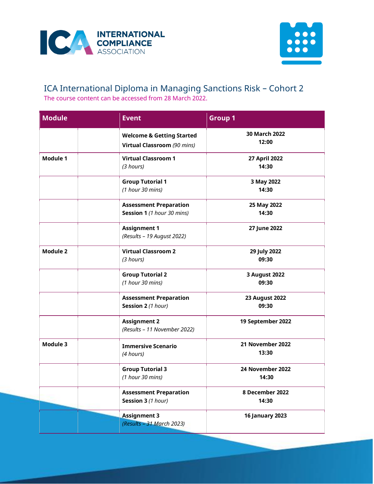



## ICA International Diploma in Managing Sanctions Risk – Cohort 2 The course content can be accessed from 28 March 2022.

| <b>Module</b>   | <b>Event</b>                                                        | <b>Group 1</b>                 |
|-----------------|---------------------------------------------------------------------|--------------------------------|
|                 | <b>Welcome &amp; Getting Started</b><br>Virtual Classroom (90 mins) | 30 March 2022<br>12:00         |
| <b>Module 1</b> | <b>Virtual Classroom 1</b><br>(3 hours)                             | 27 April 2022<br>14:30         |
|                 | <b>Group Tutorial 1</b><br>$(1$ hour 30 mins)                       | 3 May 2022<br>14:30            |
|                 | <b>Assessment Preparation</b><br>Session 1 (1 hour 30 mins)         | 25 May 2022<br>14:30           |
|                 | <b>Assignment 1</b><br>(Results - 19 August 2022)                   | 27 June 2022                   |
| <b>Module 2</b> | <b>Virtual Classroom 2</b><br>(3 hours)                             | 29 July 2022<br>09:30          |
|                 | <b>Group Tutorial 2</b><br>(1 hour 30 mins)                         | 3 August 2022<br>09:30         |
|                 | <b>Assessment Preparation</b><br>Session 2 (1 hour)                 | <b>23 August 2022</b><br>09:30 |
|                 | <b>Assignment 2</b><br>(Results - 11 November 2022)                 | 19 September 2022              |
| Module 3        | <b>Immersive Scenario</b><br>(4 hours)                              | 21 November 2022<br>13:30      |
|                 | <b>Group Tutorial 3</b><br>(1 hour 30 mins)                         | 24 November 2022<br>14:30      |
|                 | <b>Assessment Preparation</b><br>Session 3 (1 hour)                 | 8 December 2022<br>14:30       |
|                 | <b>Assignment 3</b><br>(Results - 31 March 2023)                    | <b>16 January 2023</b>         |